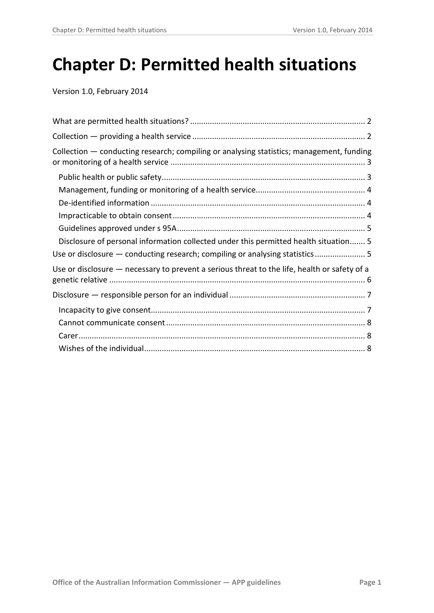# **Chapter D: Permitted health situations**

Version 1.0, February 2014

<span id="page-0-0"></span>

| Collection - conducting research; compiling or analysing statistics; management, funding     |
|----------------------------------------------------------------------------------------------|
|                                                                                              |
|                                                                                              |
|                                                                                              |
|                                                                                              |
|                                                                                              |
| Disclosure of personal information collected under this permitted health situation 5         |
| Use or disclosure — conducting research; compiling or analysing statistics 5                 |
| Use or disclosure - necessary to prevent a serious threat to the life, health or safety of a |
|                                                                                              |
|                                                                                              |
|                                                                                              |
|                                                                                              |
|                                                                                              |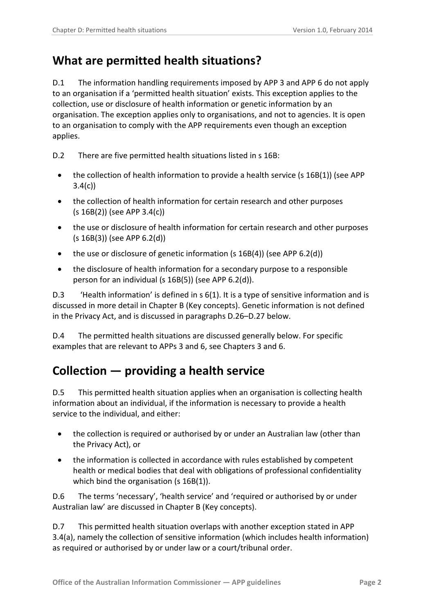# <span id="page-1-0"></span>**What are permitted health situations?**

D.1 The information handling requirements imposed by APP 3 and APP 6 do not apply to an organisation if a 'permitted health situation' exists. This exception applies to the collection, use or disclosure of health information or genetic information by an organisation. The exception applies only to organisations, and not to agencies. It is open to an organisation to comply with the APP requirements even though an exception applies.

D.2 There are five permitted health situations listed in s 16B:

- the collection of health information to provide a health service (s 16B(1)) (see APP  $3.4(c)$
- the collection of health information for certain research and other purposes (s 16B(2)) (see APP 3.4(c))
- the use or disclosure of health information for certain research and other purposes (s 16B(3)) (see APP 6.2(d))
- the use or disclosure of genetic information (s 16B(4)) (see APP 6.2(d))
- the disclosure of health information for a secondary purpose to a responsible person for an individual (s 16B(5)) (see APP 6.2(d)).

D.3 'Health information' is defined in s 6(1). It is a type of sensitive information and is discussed in more detail in Chapter B (Key concepts). Genetic information is not defined in the Privacy Act, and is discussed in paragraphs [D.26](#page-5-1)[–D.27](#page-5-2) below.

D.4 The permitted health situations are discussed generally below. For specific examples that are relevant to APPs 3 and 6, see Chapters 3 and 6.

# <span id="page-1-1"></span>**Collection — providing a health service**

D.5 This permitted health situation applies when an organisation is collecting health information about an individual, if the information is necessary to provide a health service to the individual, and either:

- the collection is required or authorised by or under an Australian law (other than the Privacy Act), or
- the information is collected in accordance with rules established by competent health or medical bodies that deal with obligations of professional confidentiality which bind the organisation (s 16B(1)).

D.6 The terms 'necessary', 'health service' and 'required or authorised by or under Australian law' are discussed in Chapter B (Key concepts).

D.7 This permitted health situation overlaps with another exception stated in APP 3.4(a), namely the collection of sensitive information (which includes health information) as required or authorised by or under law or a court/tribunal order.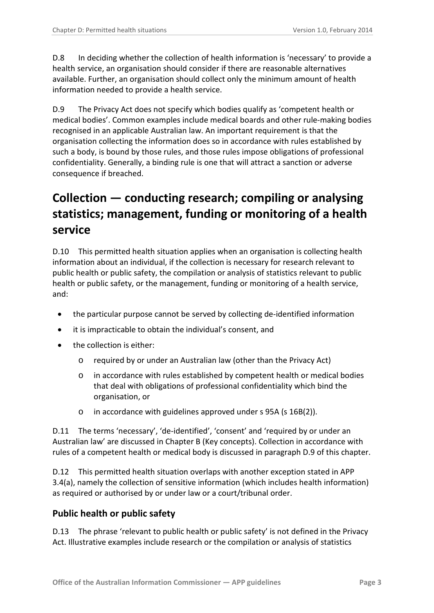D.8 In deciding whether the collection of health information is 'necessary' to provide a health service, an organisation should consider if there are reasonable alternatives available. Further, an organisation should collect only the minimum amount of health information needed to provide a health service.

<span id="page-2-2"></span>D.9 The Privacy Act does not specify which bodies qualify as 'competent health or medical bodies'. Common examples include medical boards and other rule-making bodies recognised in an applicable Australian law. An important requirement is that the organisation collecting the information does so in accordance with rules established by such a body, is bound by those rules, and those rules impose obligations of professional confidentiality. Generally, a binding rule is one that will attract a sanction or adverse consequence if breached.

# <span id="page-2-0"></span>**Collection — conducting research; compiling or analysing statistics; management, funding or monitoring of a health service**

D.10 This permitted health situation applies when an organisation is collecting health information about an individual, if the collection is necessary for research relevant to public health or public safety, the compilation or analysis of statistics relevant to public health or public safety, or the management, funding or monitoring of a health service, and:

- the particular purpose cannot be served by collecting de-identified information
- it is impracticable to obtain the individual's consent, and
- the collection is either:
	- o required by or under an Australian law (other than the Privacy Act)
	- o in accordance with rules established by competent health or medical bodies that deal with obligations of professional confidentiality which bind the organisation, or
	- o in accordance with guidelines approved under s 95A (s 16B(2)).

D.11 The terms 'necessary', 'de-identified', 'consent' and 'required by or under an Australian law' are discussed in Chapter B (Key concepts). Collection in accordance with rules of a competent health or medical body is discussed in paragraph [D.9](#page-2-2) of this chapter.

D.12 This permitted health situation overlaps with another exception stated in APP 3.4(a), namely the collection of sensitive information (which includes health information) as required or authorised by or under law or a court/tribunal order.

#### <span id="page-2-1"></span>**Public health or public safety**

<span id="page-2-3"></span>D.13 The phrase 'relevant to public health or public safety' is not defined in the Privacy Act. Illustrative examples include research or the compilation or analysis of statistics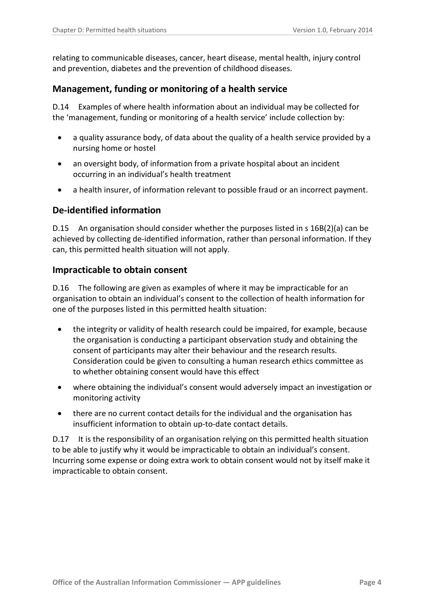relating to communicable diseases, cancer, heart disease, mental health, injury control and prevention, diabetes and the prevention of childhood diseases.

### <span id="page-3-0"></span>**Management, funding or monitoring of a health service**

D.14 Examples of where health information about an individual may be collected for the 'management, funding or monitoring of a health service' include collection by:

- a quality assurance body, of data about the quality of a health service provided by a nursing home or hostel
- an oversight body, of information from a private hospital about an incident occurring in an individual's health treatment
- a health insurer, of information relevant to possible fraud or an incorrect payment.

### <span id="page-3-1"></span>**De-identified information**

D.15 An organisation should consider whether the purposes listed in s 16B(2)(a) can be achieved by collecting de-identified information, rather than personal information. If they can, this permitted health situation will not apply.

#### <span id="page-3-2"></span>**Impracticable to obtain consent**

<span id="page-3-3"></span>D.16 The following are given as examples of where it may be impracticable for an organisation to obtain an individual's consent to the collection of health information for one of the purposes listed in this permitted health situation:

- the integrity or validity of health research could be impaired, for example, because the organisation is conducting a participant observation study and obtaining the consent of participants may alter their behaviour and the research results. Consideration could be given to consulting a human research ethics committee as to whether obtaining consent would have this effect
- where obtaining the individual's consent would adversely impact an investigation or monitoring activity
- there are no current contact details for the individual and the organisation has insufficient information to obtain up-to-date contact details.

<span id="page-3-4"></span>D.17 It is the responsibility of an organisation relying on this permitted health situation to be able to justify why it would be impracticable to obtain an individual's consent. Incurring some expense or doing extra work to obtain consent would not by itself make it impracticable to obtain consent.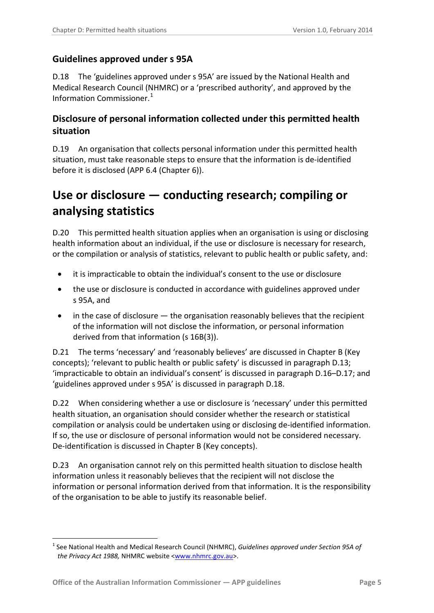## <span id="page-4-0"></span>**Guidelines approved under s 95A**

<span id="page-4-3"></span>D.18 The 'guidelines approved under s 95A' are issued by the National Health and Medical Research Council (NHMRC) or a 'prescribed authority', and approved by the Information Commissioner. [1](#page-0-0)

# <span id="page-4-1"></span>**Disclosure of personal information collected under this permitted health situation**

D.19 An organisation that collects personal information under this permitted health situation, must take reasonable steps to ensure that the information is de-identified before it is disclosed (APP 6.4 (Chapter 6)).

# <span id="page-4-2"></span>**Use or disclosure — conducting research; compiling or analysing statistics**

D.20 This permitted health situation applies when an organisation is using or disclosing health information about an individual, if the use or disclosure is necessary for research, or the compilation or analysis of statistics, relevant to public health or public safety, and:

- it is impracticable to obtain the individual's consent to the use or disclosure
- the use or disclosure is conducted in accordance with guidelines approved under s 95A, and
- in the case of disclosure  $-$  the organisation reasonably believes that the recipient of the information will not disclose the information, or personal information derived from that information (s 16B(3)).

D.21 The terms 'necessary' and 'reasonably believes' are discussed in Chapter B (Key concepts); 'relevant to public health or public safety' is discussed in paragraph [D.13;](#page-2-3) 'impracticable to obtain an individual's consent' is discussed in paragrap[h D.16](#page-3-3)[–D.17;](#page-3-4) and 'guidelines approved under s 95A' is discussed in paragraph [D.18.](#page-4-3)

D.22 When considering whether a use or disclosure is 'necessary' under this permitted health situation, an organisation should consider whether the research or statistical compilation or analysis could be undertaken using or disclosing de-identified information. If so, the use or disclosure of personal information would not be considered necessary. De-identification is discussed in Chapter B (Key concepts).

D.23 An organisation cannot rely on this permitted health situation to disclose health information unless it reasonably believes that the recipient will not disclose the information or personal information derived from that information. It is the responsibility of the organisation to be able to justify its reasonable belief.

<span id="page-4-4"></span><sup>1</sup> <sup>1</sup> See National Health and Medical Research Council (NHMRC), *Guidelines approved under Section 95A of the Privacy Act 1988,* NHMRC website [<www.nhmrc.gov.au>](http://www.nhmrc.gov.au/).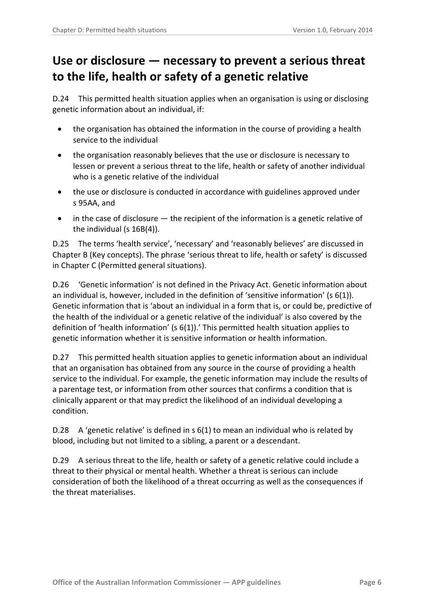# <span id="page-5-0"></span>**Use or disclosure — necessary to prevent a serious threat to the life, health or safety of a genetic relative**

D.24 This permitted health situation applies when an organisation is using or disclosing genetic information about an individual, if:

- the organisation has obtained the information in the course of providing a health service to the individual
- the organisation reasonably believes that the use or disclosure is necessary to lessen or prevent a serious threat to the life, health or safety of another individual who is a genetic relative of the individual
- the use or disclosure is conducted in accordance with guidelines approved under s 95AA, and
- in the case of disclosure  $-$  the recipient of the information is a genetic relative of the individual (s 16B(4)).

D.25 The terms 'health service', 'necessary' and 'reasonably believes' are discussed in Chapter B (Key concepts). The phrase 'serious threat to life, health or safety' is discussed in Chapter C (Permitted general situations).

<span id="page-5-1"></span>D.26 'Genetic information' is not defined in the Privacy Act. Genetic information about an individual is, however, included in the definition of 'sensitive information' (s 6(1)). Genetic information that is 'about an [individual](http://www.austlii.edu.au/au/legis/cth/consol_act/pa1988108/s6.html#individual) in a form that is, or could be, predictive of the health of the [individual](http://www.austlii.edu.au/au/legis/cth/consol_act/pa1988108/s6.html#individual) or a genetic relative of the [individual'](http://www.austlii.edu.au/au/legis/cth/consol_act/pa1988108/s6.html#individual) is also covered by the definition of 'health information' (s 6(1)).' This permitted health situation applies to genetic information whether it is sensitive information or health information.

<span id="page-5-2"></span>D.27 This permitted health situation applies to genetic information about an individual that an organisation has obtained from any source in the course of providing a health service to the individual. For example, the genetic information may include the results of a parentage test, or information from other sources that confirms a condition that is clinically apparent or that may predict the likelihood of an individual developing a condition.

D.28 A 'genetic relative' is defined in s 6(1) to mean an individual who is related by blood, including but not limited to a sibling, a parent or a descendant.

D.29 A serious threat to the life, health or safety of a genetic relative could include a threat to their physical or mental health. Whether a threat is serious can include consideration of both the likelihood of a threat occurring as well as the consequences if the threat materialises.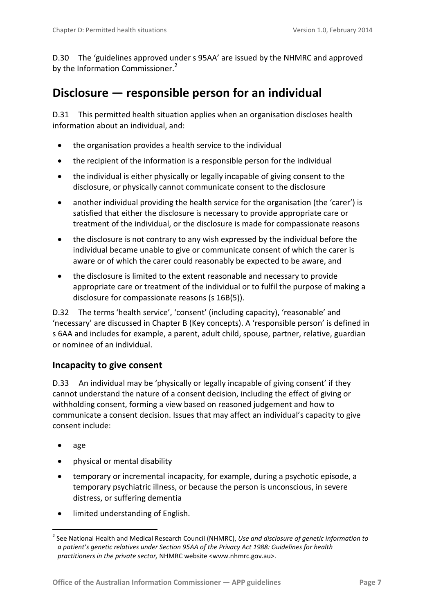D.30 The 'guidelines approved under s 95AA' are issued by the NHMRC and approved by the Information Commissioner.<sup>[2](#page-4-4)</sup>

# <span id="page-6-0"></span>**Disclosure — responsible person for an individual**

D.31 This permitted health situation applies when an organisation discloses health information about an individual, and:

- the organisation provides a health service to the individual
- the recipient of the information is a responsible person for the individual
- the individual is either physically or legally incapable of giving consent to the disclosure, or physically cannot communicate consent to the disclosure
- another individual providing the health service for the organisation (the 'carer') is satisfied that either the disclosure is necessary to provide appropriate care or treatment of the individual, or the disclosure is made for compassionate reasons
- the disclosure is not contrary to any wish expressed by the individual before the individual became unable to give or communicate consent of which the carer is aware or of which the carer could reasonably be expected to be aware, and
- the disclosure is limited to the extent reasonable and necessary to provide appropriate care or treatment of the individual or to fulfil the purpose of making a disclosure for compassionate reasons (s 16B(5)).

D.32 The terms 'health service', 'consent' (including capacity), 'reasonable' and 'necessary' are discussed in Chapter B (Key concepts). A 'responsible person' is defined in s 6AA and includes for example, a parent, adult child, spouse, partner, relative, guardian or nominee of an individual.

### <span id="page-6-1"></span>**Incapacity to give consent**

D.33 An individual may be 'physically or legally incapable of giving consent' if they cannot understand the nature of a consent decision, including the effect of giving or withholding consent, forming a view based on reasoned judgement and how to communicate a consent decision. Issues that may affect an individual's capacity to give consent include:

• age

-

- physical or mental disability
- temporary or incremental incapacity, for example, during a psychotic episode, a temporary psychiatric illness, or because the person is unconscious, in severe distress, or suffering dementia
- limited understanding of English.

<sup>2</sup> See National Health and Medical Research Council (NHMRC), *Use and disclosure of genetic information to a patient's genetic relatives under Section 95AA of the Privacy Act 1988: Guidelines for health practitioners in the private sector,* NHMRC website <www.nhmrc.gov.au>.